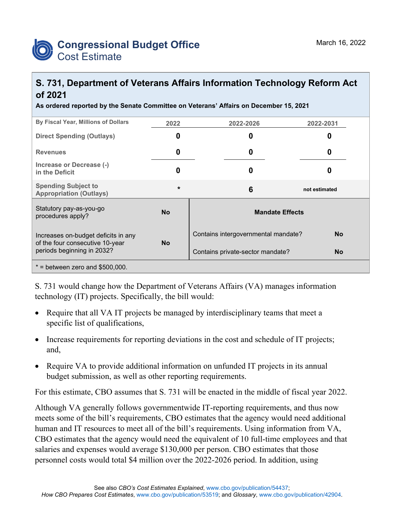

## **S. 731, Department of Veterans Affairs Information Technology Reform Act of 2021**

**As ordered reported by the Senate Committee on Veterans' Affairs on December 15, 2021**

| By Fiscal Year, Millions of Dollars                                                                  | 2022      | 2022-2026                           | 2022-2031     |  |
|------------------------------------------------------------------------------------------------------|-----------|-------------------------------------|---------------|--|
| <b>Direct Spending (Outlays)</b>                                                                     | O         | 0                                   | O             |  |
| <b>Revenues</b>                                                                                      | 0         | 0                                   | 0             |  |
| Increase or Decrease (-)<br>in the Deficit                                                           | 0         | 0                                   |               |  |
| <b>Spending Subject to</b><br><b>Appropriation (Outlays)</b>                                         | $\star$   | 6                                   | not estimated |  |
| Statutory pay-as-you-go<br>procedures apply?                                                         | <b>No</b> | <b>Mandate Effects</b>              |               |  |
| Increases on-budget deficits in any<br>of the four consecutive 10-year<br>periods beginning in 2032? | <b>No</b> | Contains intergovernmental mandate? | <b>No</b>     |  |
|                                                                                                      |           | Contains private-sector mandate?    | <b>No</b>     |  |
| $*$ = between zero and \$500,000.                                                                    |           |                                     |               |  |

S. 731 would change how the Department of Veterans Affairs (VA) manages information technology (IT) projects. Specifically, the bill would:

- Require that all VA IT projects be managed by interdisciplinary teams that meet a specific list of qualifications,
- Increase requirements for reporting deviations in the cost and schedule of IT projects; and,
- Require VA to provide additional information on unfunded IT projects in its annual budget submission, as well as other reporting requirements.

For this estimate, CBO assumes that S. 731 will be enacted in the middle of fiscal year 2022.

Although VA generally follows governmentwide IT-reporting requirements, and thus now meets some of the bill's requirements, CBO estimates that the agency would need additional human and IT resources to meet all of the bill's requirements. Using information from VA, CBO estimates that the agency would need the equivalent of 10 full-time employees and that salaries and expenses would average \$130,000 per person. CBO estimates that those personnel costs would total \$4 million over the 2022-2026 period. In addition, using